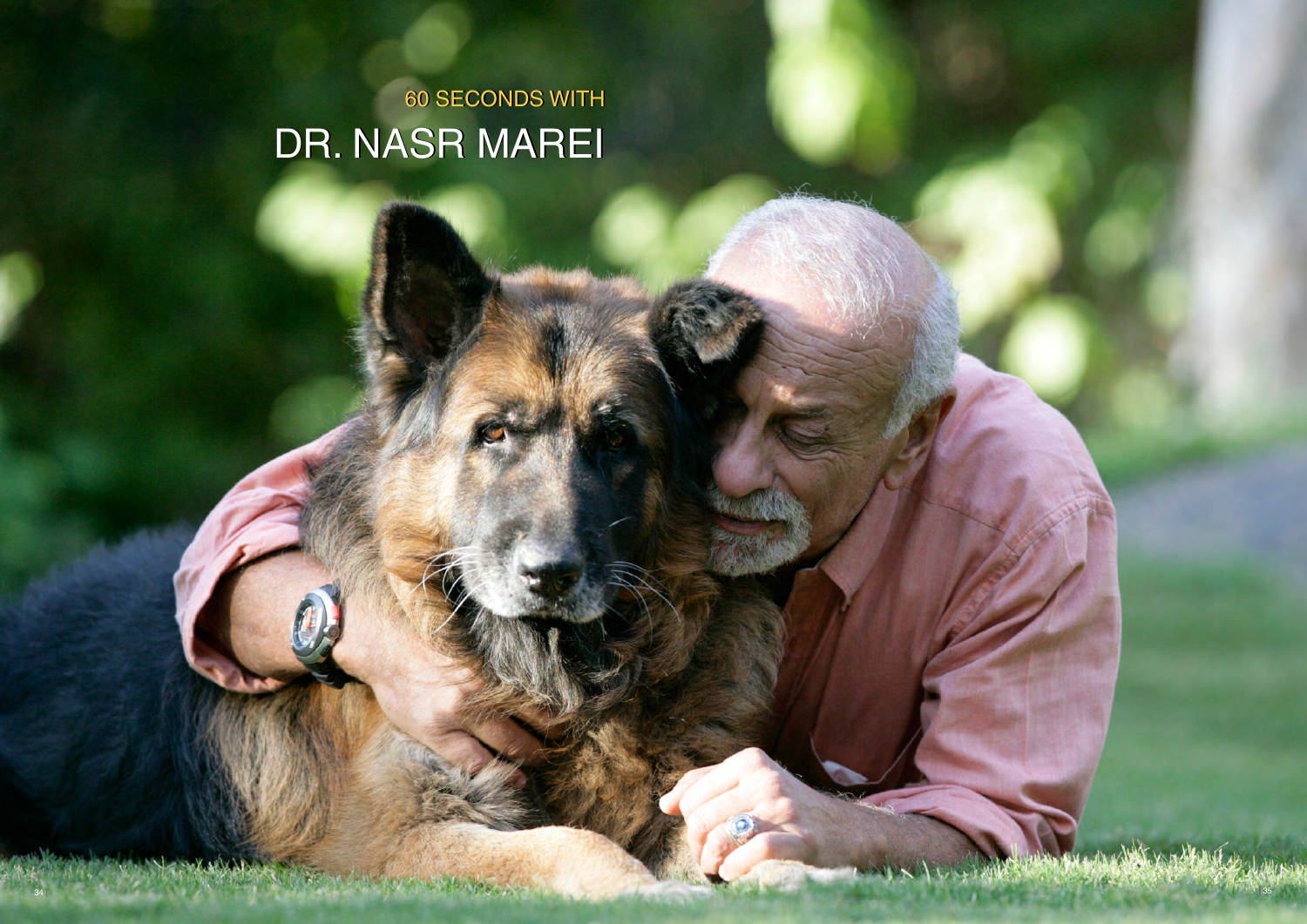# DR. NASR MAREI **60 SECONDS WITH**